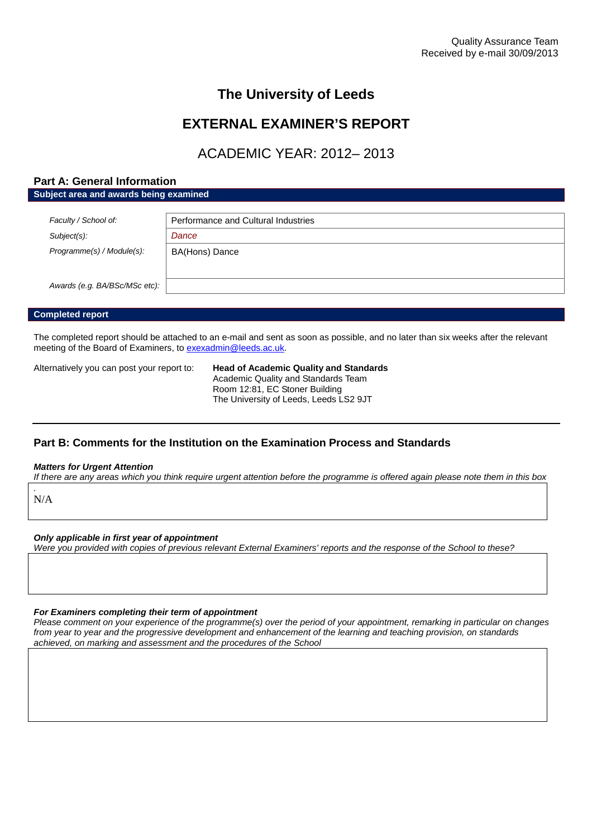## **The University of Leeds**

## **EXTERNAL EXAMINER'S REPORT**

# ACADEMIC YEAR: 2012– 2013

### **Part A: General Information**

**Subject area and awards being examined**

| Faculty / School of:          | Performance and Cultural Industries |  |
|-------------------------------|-------------------------------------|--|
| $Subject(s)$ :                | Dance                               |  |
| Programme(s) / Module(s):     | BA(Hons) Dance                      |  |
| Awards (e.g. BA/BSc/MSc etc): |                                     |  |

#### **Completed report**

The completed report should be attached to an e-mail and sent as soon as possible, and no later than six weeks after the relevant meeting of the Board of Examiners, to [exexadmin@leeds.ac.uk.](mailto:exexadmin@leeds.ac.uk)

Alternatively you can post your report to: **Head of Academic Quality and Standards**

Academic Quality and Standards Team Room 12:81, EC Stoner Building The University of Leeds, Leeds LS2 9JT

## **Part B: Comments for the Institution on the Examination Process and Standards**

#### *Matters for Urgent Attention*

*If there are any areas which you think require urgent attention before the programme is offered again please note them in this box*

*.* N/A

#### *Only applicable in first year of appointment*

*Were you provided with copies of previous relevant External Examiners' reports and the response of the School to these?*

#### *For Examiners completing their term of appointment*

*Please comment on your experience of the programme(s) over the period of your appointment, remarking in particular on changes from year to year and the progressive development and enhancement of the learning and teaching provision, on standards achieved, on marking and assessment and the procedures of the School*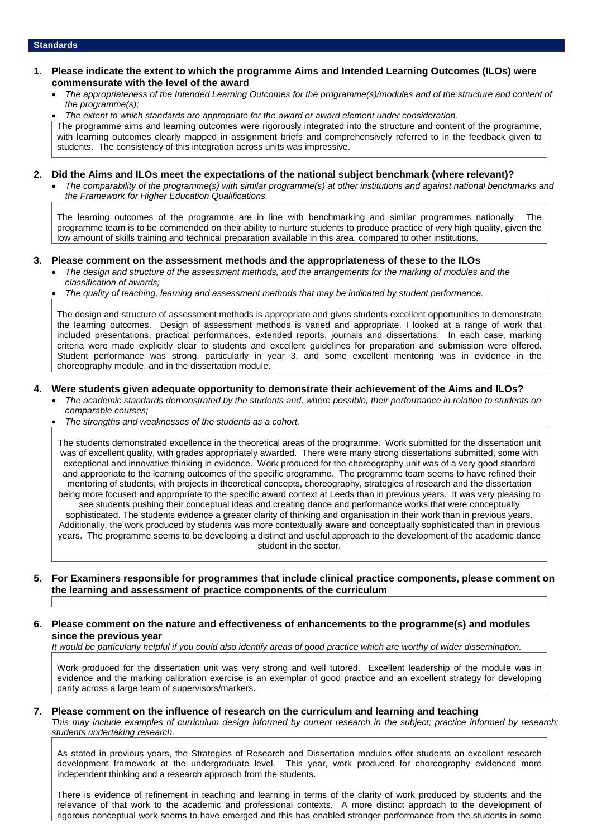#### **1. Please indicate the extent to which the programme Aims and Intended Learning Outcomes (ILOs) were commensurate with the level of the award**

 *The appropriateness of the Intended Learning Outcomes for the programme(s)/modules and of the structure and content of the programme(s);*

 *The extent to which standards are appropriate for the award or award element under consideration.* The programme aims and learning outcomes were rigorously integrated into the structure and content of the programme, with learning outcomes clearly mapped in assignment briefs and comprehensively referred to in the feedback given to students. The consistency of this integration across units was impressive.

#### **2. Did the Aims and ILOs meet the expectations of the national subject benchmark (where relevant)?**

 *The comparability of the programme(s) with similar programme(s) at other institutions and against national benchmarks and the Framework for Higher Education Qualifications.*

The learning outcomes of the programme are in line with benchmarking and similar programmes nationally. The programme team is to be commended on their ability to nurture students to produce practice of very high quality, given the low amount of skills training and technical preparation available in this area, compared to other institutions.

#### **3. Please comment on the assessment methods and the appropriateness of these to the ILOs**

- *The design and structure of the assessment methods, and the arrangements for the marking of modules and the classification of awards;*
- *The quality of teaching, learning and assessment methods that may be indicated by student performance.*

The design and structure of assessment methods is appropriate and gives students excellent opportunities to demonstrate the learning outcomes. Design of assessment methods is varied and appropriate. I looked at a range of work that included presentations, practical performances, extended reports, journals and dissertations. In each case, marking criteria were made explicitly clear to students and excellent guidelines for preparation and submission were offered. Student performance was strong, particularly in year 3, and some excellent mentoring was in evidence in the choreography module, and in the dissertation module.

#### **4. Were students given adequate opportunity to demonstrate their achievement of the Aims and ILOs?**

- *The academic standards demonstrated by the students and, where possible, their performance in relation to students on comparable courses;*
- *The strengths and weaknesses of the students as a cohort.*

The students demonstrated excellence in the theoretical areas of the programme. Work submitted for the dissertation unit was of excellent quality, with grades appropriately awarded. There were many strong dissertations submitted, some with exceptional and innovative thinking in evidence. Work produced for the choreography unit was of a very good standard and appropriate to the learning outcomes of the specific programme. The programme team seems to have refined their mentoring of students, with projects in theoretical concepts, choreography, strategies of research and the dissertation being more focused and appropriate to the specific award context at Leeds than in previous years. It was very pleasing to see students pushing their conceptual ideas and creating dance and performance works that were conceptually sophisticated. The students evidence a greater clarity of thinking and organisation in their work than in previous years. Additionally, the work produced by students was more contextually aware and conceptually sophisticated than in previous years. The programme seems to be developing a distinct and useful approach to the development of the academic dance student in the sector.

#### **5. For Examiners responsible for programmes that include clinical practice components, please comment on the learning and assessment of practice components of the curriculum**

#### **6. Please comment on the nature and effectiveness of enhancements to the programme(s) and modules since the previous year**

*It would be particularly helpful if you could also identify areas of good practice which are worthy of wider dissemination.*

Work produced for the dissertation unit was very strong and well tutored. Excellent leadership of the module was in evidence and the marking calibration exercise is an exemplar of good practice and an excellent strategy for developing parity across a large team of supervisors/markers.

#### **7. Please comment on the influence of research on the curriculum and learning and teaching**

*This may include examples of curriculum design informed by current research in the subject; practice informed by research; students undertaking research.*

As stated in previous years, the Strategies of Research and Dissertation modules offer students an excellent research development framework at the undergraduate level. This year, work produced for choreography evidenced more independent thinking and a research approach from the students.

There is evidence of refinement in teaching and learning in terms of the clarity of work produced by students and the relevance of that work to the academic and professional contexts. A more distinct approach to the development of rigorous conceptual work seems to have emerged and this has enabled stronger performance from the students in some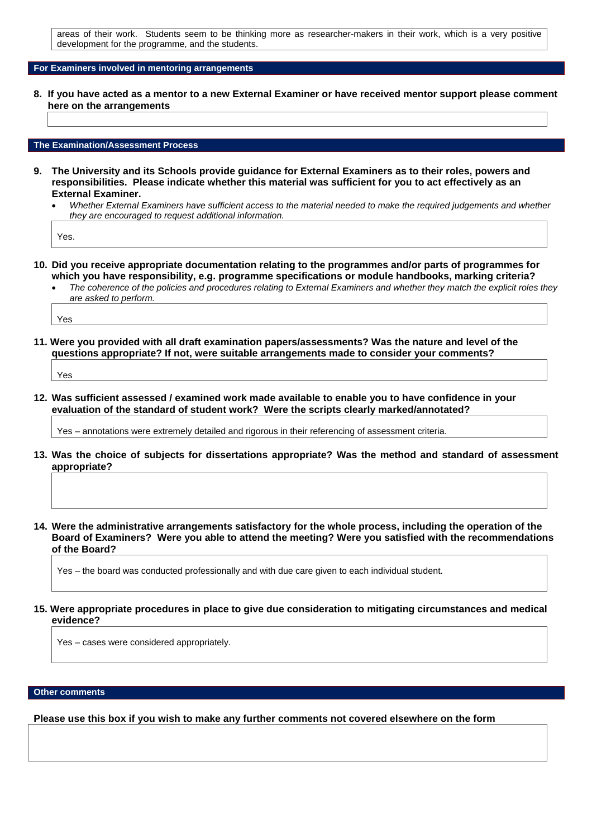areas of their work. Students seem to be thinking more as researcher-makers in their work, which is a very positive development for the programme, and the students.

#### **For Examiners involved in mentoring arrangements**

**8. If you have acted as a mentor to a new External Examiner or have received mentor support please comment here on the arrangements**

#### **The Examination/Assessment Process**

- **9. The University and its Schools provide guidance for External Examiners as to their roles, powers and responsibilities. Please indicate whether this material was sufficient for you to act effectively as an External Examiner.**
	- *Whether External Examiners have sufficient access to the material needed to make the required judgements and whether they are encouraged to request additional information.*

Yes.

- **10. Did you receive appropriate documentation relating to the programmes and/or parts of programmes for which you have responsibility, e.g. programme specifications or module handbooks, marking criteria?**
	- *The coherence of the policies and procedures relating to External Examiners and whether they match the explicit roles they are asked to perform.*

Yes

**11. Were you provided with all draft examination papers/assessments? Was the nature and level of the questions appropriate? If not, were suitable arrangements made to consider your comments?**

Yes

**12. Was sufficient assessed / examined work made available to enable you to have confidence in your evaluation of the standard of student work? Were the scripts clearly marked/annotated?**

Yes – annotations were extremely detailed and rigorous in their referencing of assessment criteria.

- **13. Was the choice of subjects for dissertations appropriate? Was the method and standard of assessment appropriate?**
- **14. Were the administrative arrangements satisfactory for the whole process, including the operation of the Board of Examiners? Were you able to attend the meeting? Were you satisfied with the recommendations of the Board?**

Yes – the board was conducted professionally and with due care given to each individual student.

**15. Were appropriate procedures in place to give due consideration to mitigating circumstances and medical evidence?**

Yes – cases were considered appropriately.

#### **Other comments**

**Please use this box if you wish to make any further comments not covered elsewhere on the form**